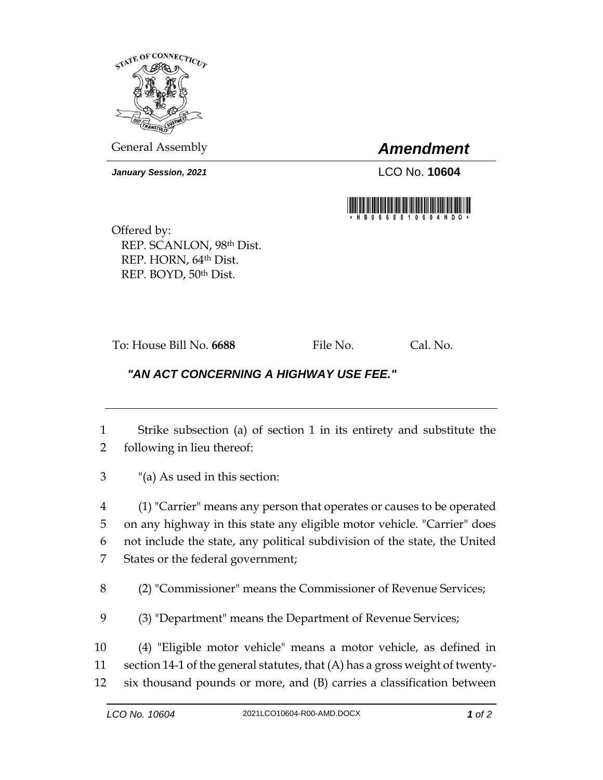

General Assembly *Amendment*

*January Session, 2021* LCO No. **10604**



Offered by: REP. SCANLON, 98th Dist. REP. HORN, 64th Dist. REP. BOYD, 50th Dist.

To: House Bill No. **6688** File No. Cal. No.

## *"AN ACT CONCERNING A HIGHWAY USE FEE."*

- 1 Strike subsection (a) of section 1 in its entirety and substitute the 2 following in lieu thereof:
- 3 "(a) As used in this section:

 (1) "Carrier" means any person that operates or causes to be operated on any highway in this state any eligible motor vehicle. "Carrier" does not include the state, any political subdivision of the state, the United States or the federal government;

8 (2) "Commissioner" means the Commissioner of Revenue Services;

9 (3) "Department" means the Department of Revenue Services;

10 (4) "Eligible motor vehicle" means a motor vehicle, as defined in

11 section 14-1 of the general statutes, that (A) has a gross weight of twenty-

12 six thousand pounds or more, and (B) carries a classification between